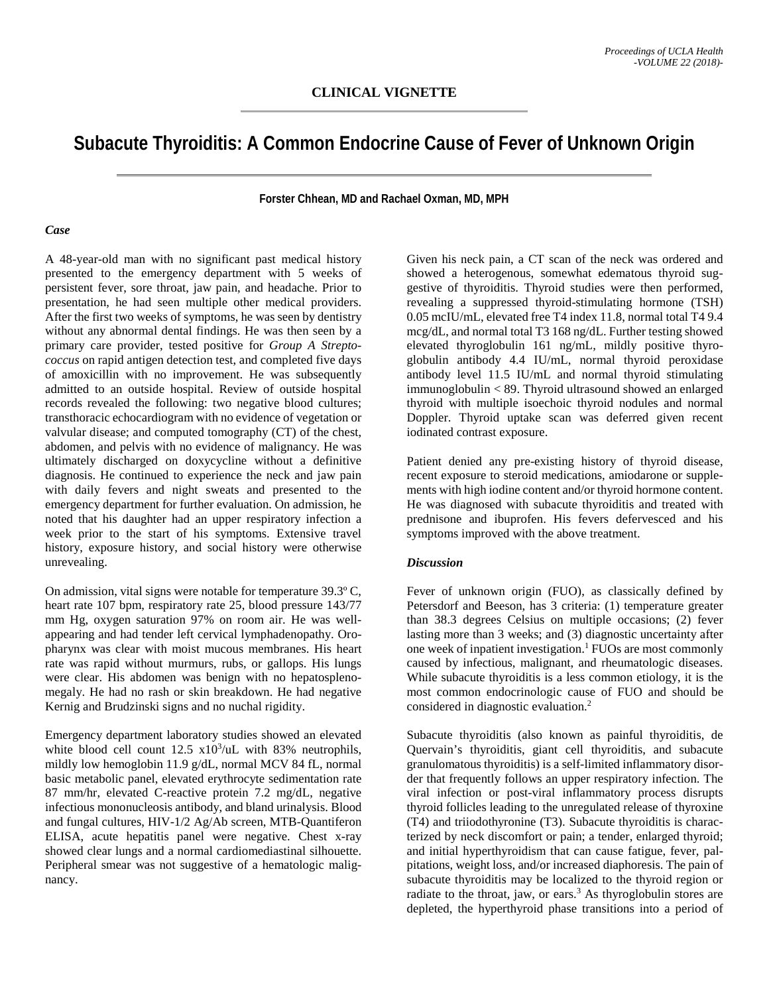## **Subacute Thyroiditis: A Common Endocrine Cause of Fever of Unknown Origin**

**Forster Chhean, MD and Rachael Oxman, MD, MPH**

## *Case*

A 48-year-old man with no significant past medical history presented to the emergency department with 5 weeks of persistent fever, sore throat, jaw pain, and headache. Prior to presentation, he had seen multiple other medical providers. After the first two weeks of symptoms, he was seen by dentistry without any abnormal dental findings. He was then seen by a primary care provider, tested positive for *Group A Streptococcus* on rapid antigen detection test, and completed five days of amoxicillin with no improvement. He was subsequently admitted to an outside hospital. Review of outside hospital records revealed the following: two negative blood cultures; transthoracic echocardiogram with no evidence of vegetation or valvular disease; and computed tomography (CT) of the chest, abdomen, and pelvis with no evidence of malignancy. He was ultimately discharged on doxycycline without a definitive diagnosis. He continued to experience the neck and jaw pain with daily fevers and night sweats and presented to the emergency department for further evaluation. On admission, he noted that his daughter had an upper respiratory infection a week prior to the start of his symptoms. Extensive travel history, exposure history, and social history were otherwise unrevealing.

On admission, vital signs were notable for temperature 39.3º C, heart rate 107 bpm, respiratory rate 25, blood pressure 143/77 mm Hg, oxygen saturation 97% on room air. He was wellappearing and had tender left cervical lymphadenopathy. Oropharynx was clear with moist mucous membranes. His heart rate was rapid without murmurs, rubs, or gallops. His lungs were clear. His abdomen was benign with no hepatosplenomegaly. He had no rash or skin breakdown. He had negative Kernig and Brudzinski signs and no nuchal rigidity.

Emergency department laboratory studies showed an elevated white blood cell count  $12.5 \times 10^3/\mu$  with 83% neutrophils, mildly low hemoglobin 11.9 g/dL, normal MCV 84 fL, normal basic metabolic panel, elevated erythrocyte sedimentation rate 87 mm/hr, elevated C-reactive protein 7.2 mg/dL, negative infectious mononucleosis antibody, and bland urinalysis. Blood and fungal cultures, HIV-1/2 Ag/Ab screen, MTB-Quantiferon ELISA, acute hepatitis panel were negative. Chest x-ray showed clear lungs and a normal cardiomediastinal silhouette. Peripheral smear was not suggestive of a hematologic malignancy.

Given his neck pain, a CT scan of the neck was ordered and showed a heterogenous, somewhat edematous thyroid suggestive of thyroiditis. Thyroid studies were then performed, revealing a suppressed thyroid-stimulating hormone (TSH) 0.05 mcIU/mL, elevated free T4 index 11.8, normal total T4 9.4 mcg/dL, and normal total T3 168 ng/dL. Further testing showed elevated thyroglobulin 161 ng/mL, mildly positive thyroglobulin antibody 4.4 IU/mL, normal thyroid peroxidase antibody level 11.5 IU/mL and normal thyroid stimulating immunoglobulin < 89. Thyroid ultrasound showed an enlarged thyroid with multiple isoechoic thyroid nodules and normal Doppler. Thyroid uptake scan was deferred given recent iodinated contrast exposure.

Patient denied any pre-existing history of thyroid disease, recent exposure to steroid medications, amiodarone or supplements with high iodine content and/or thyroid hormone content. He was diagnosed with subacute thyroiditis and treated with prednisone and ibuprofen. His fevers defervesced and his symptoms improved with the above treatment.

## *Discussion*

Fever of unknown origin (FUO), as classically defined by Petersdorf and Beeson, has 3 criteria: (1) temperature greater than 38.3 degrees Celsius on multiple occasions; (2) fever lasting more than 3 weeks; and (3) diagnostic uncertainty after one week of inpatient investigation.1 FUOs are most commonly caused by infectious, malignant, and rheumatologic diseases. While subacute thyroiditis is a less common etiology, it is the most common endocrinologic cause of FUO and should be considered in diagnostic evaluation.<sup>2</sup>

Subacute thyroiditis (also known as painful thyroiditis, de Quervain's thyroiditis, giant cell thyroiditis, and subacute granulomatous thyroiditis) is a self-limited inflammatory disorder that frequently follows an upper respiratory infection. The viral infection or post-viral inflammatory process disrupts thyroid follicles leading to the unregulated release of thyroxine (T4) and triiodothyronine (T3). Subacute thyroiditis is characterized by neck discomfort or pain; a tender, enlarged thyroid; and initial hyperthyroidism that can cause fatigue, fever, palpitations, weight loss, and/or increased diaphoresis. The pain of subacute thyroiditis may be localized to the thyroid region or radiate to the throat, jaw, or ears.<sup>3</sup> As thyroglobulin stores are depleted, the hyperthyroid phase transitions into a period of